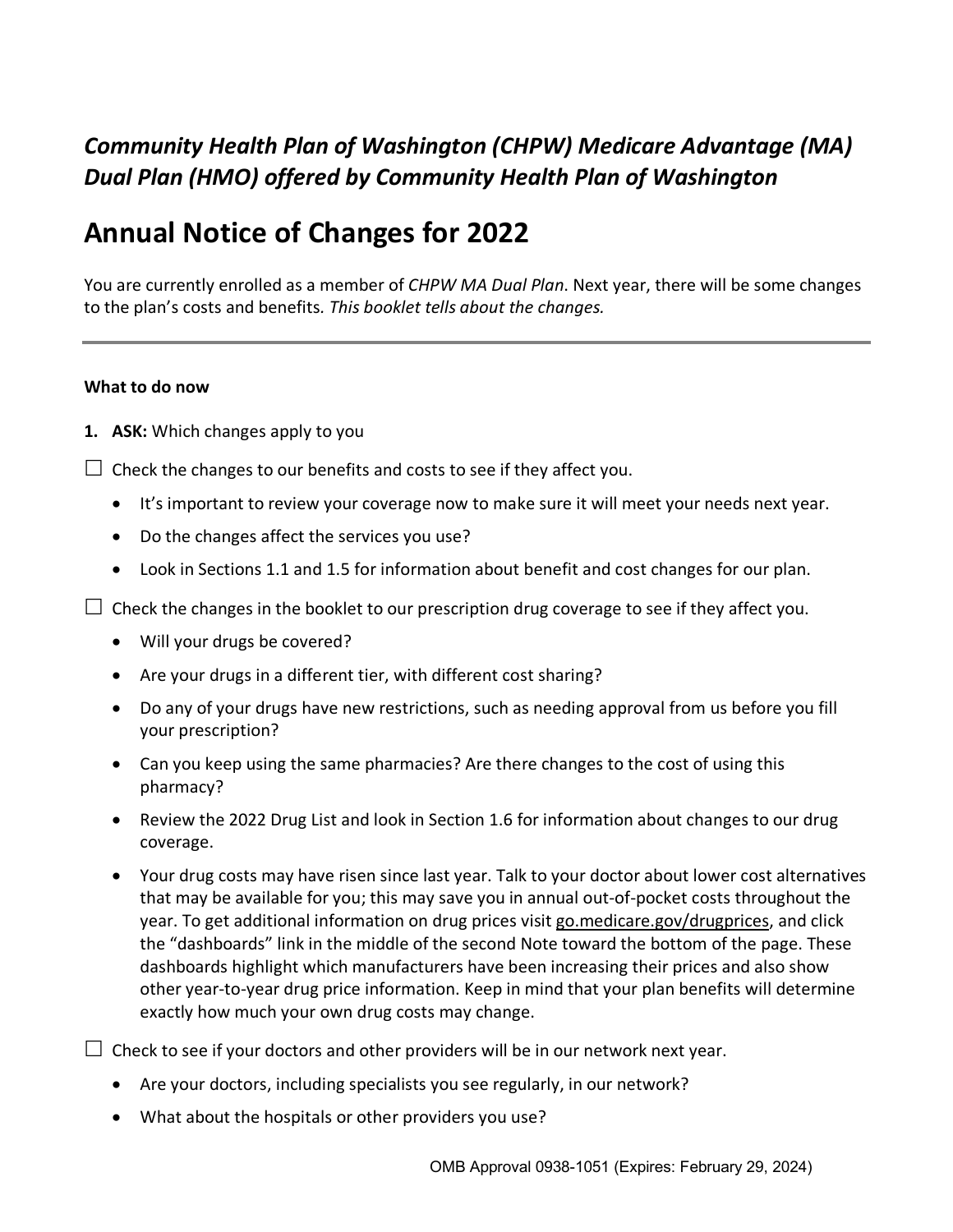# *Community Health Plan of Washington (CHPW) Medicare Advantage (MA) Dual Plan (HMO) offered by Community Health Plan of Washington*

# **Annual Notice of Changes for 2022**

You are currently enrolled as a member of *CHPW MA Dual Plan*. Next year, there will be some changes to the plan's costs and benefits*. This booklet tells about the changes.* 

#### **What to do now**

- **1. ASK:** Which changes apply to you
- $\Box$  Check the changes to our benefits and costs to see if they affect you.
	- It's important to review your coverage now to make sure it will meet your needs next year.
	- Do the changes affect the services you use?
	- Look in Sections 1.1 and 1.5 for information about benefit and cost changes for our plan.
- $\Box$  Check the changes in the booklet to our prescription drug coverage to see if they affect you.
	- Will your drugs be covered?
	- Are your drugs in a different tier, with different cost sharing?
	- Do any of your drugs have new restrictions, such as needing approval from us before you fill your prescription?
	- Can you keep using the same pharmacies? Are there changes to the cost of using this pharmacy?
	- Review the 2022 Drug List and look in Section 1.6 for information about changes to our drug coverage.
	- Your drug costs may have risen since last year. Talk to your doctor about lower cost alternatives that may be available for you; this may save you in annual out-of-pocket costs throughout the year. To get additional information on drug prices visit [go.medicare.gov/drugprices,](https://go.medicare.gov/drugprices) and click the "dashboards" link in the middle of the second Note toward the bottom of the page. These dashboards highlight which manufacturers have been increasing their prices and also show other year-to-year drug price information. Keep in mind that your plan benefits will determine exactly how much your own drug costs may change.
- $\Box$  Check to see if your doctors and other providers will be in our network next year.
	- Are your doctors, including specialists you see regularly, in our network?
	- What about the hospitals or other providers you use?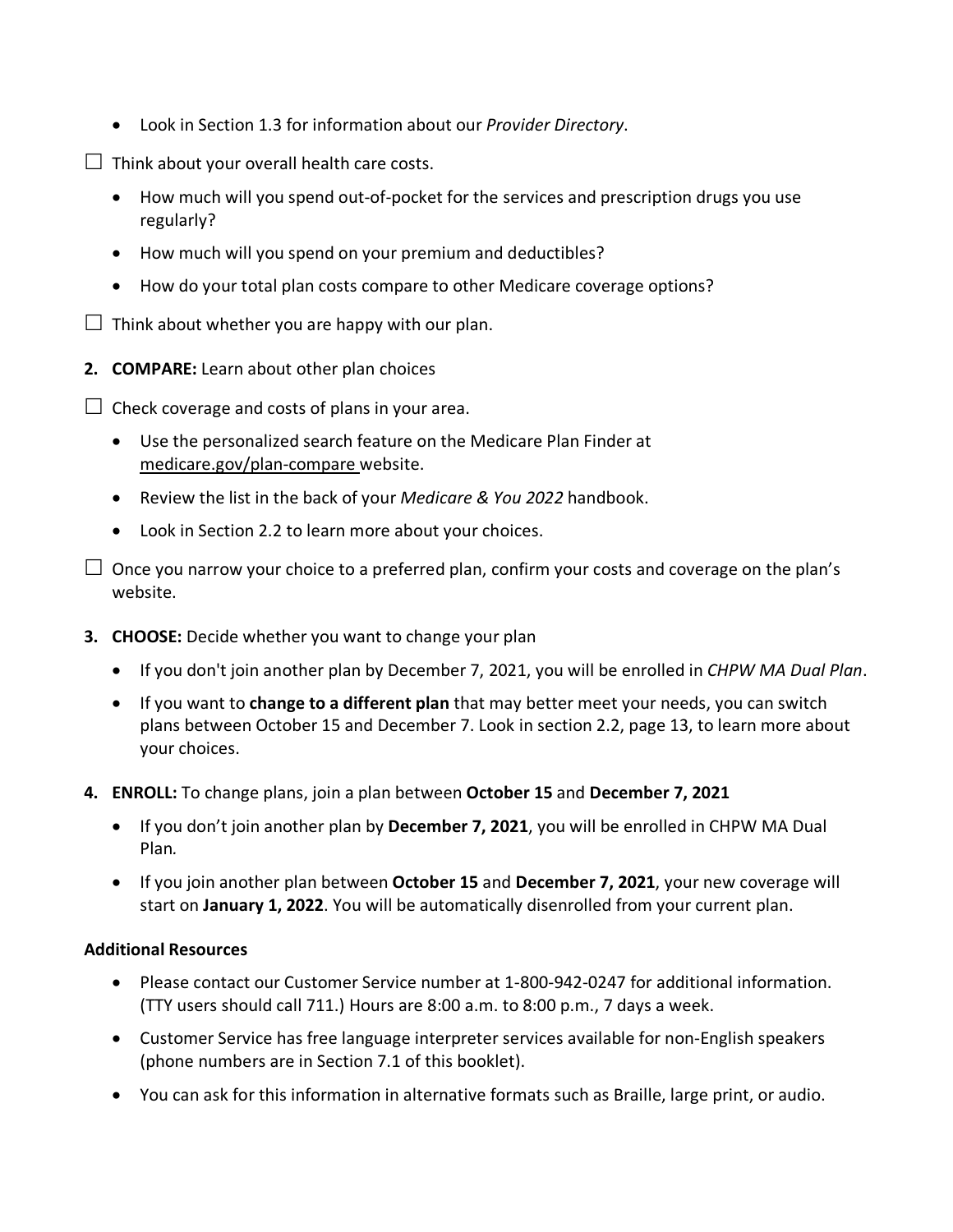- Look in Section 1.3 for information about our *Provider Directory*.
- $\Box$  Think about your overall health care costs.
	- How much will you spend out-of-pocket for the services and prescription drugs you use regularly?
	- How much will you spend on your premium and deductibles?
	- How do your total plan costs compare to other Medicare coverage options?
- $\Box$  Think about whether you are happy with our plan.
- **2. COMPARE:** Learn about other plan choices
- $\Box$  Check coverage and costs of plans in your area.
	- Use the personalized search feature on the Medicare Plan Finder at [medicare.gov/plan-compare](http://www.medicare.gov/plan-compare) website.
	- Review the list in the back of your *Medicare & You 2022* handbook.
	- Look in Section 2.2 to learn more about your choices.
- $\Box$  Once you narrow your choice to a preferred plan, confirm your costs and coverage on the plan's website.
- **3. CHOOSE:** Decide whether you want to change your plan
	- If you don't join another plan by December 7, 2021, you will be enrolled in *CHPW MA Dual Plan*.
	- If you want to **change to a different plan** that may better meet your needs, you can switch plans between October 15 and December 7. Look in section 2.2, page 13, to learn more about your choices.
- **4. ENROLL:** To change plans, join a plan between **October 15** and **December 7, 2021**
	- If you don't join another plan by **December 7, 2021**, you will be enrolled in CHPW MA Dual Plan*.*
	- If you join another plan between **October 15** and **December 7, 2021**, your new coverage will start on **January 1, 2022**. You will be automatically disenrolled from your current plan.

### **Additional Resources**

- Please contact our Customer Service number at 1-800-942-0247 for additional information. (TTY users should call 711.) Hours are 8:00 a.m. to 8:00 p.m., 7 days a week.
- Customer Service has free language interpreter services available for non-English speakers (phone numbers are in Section 7.1 of this booklet).
- You can ask for this information in alternative formats such as Braille, large print, or audio.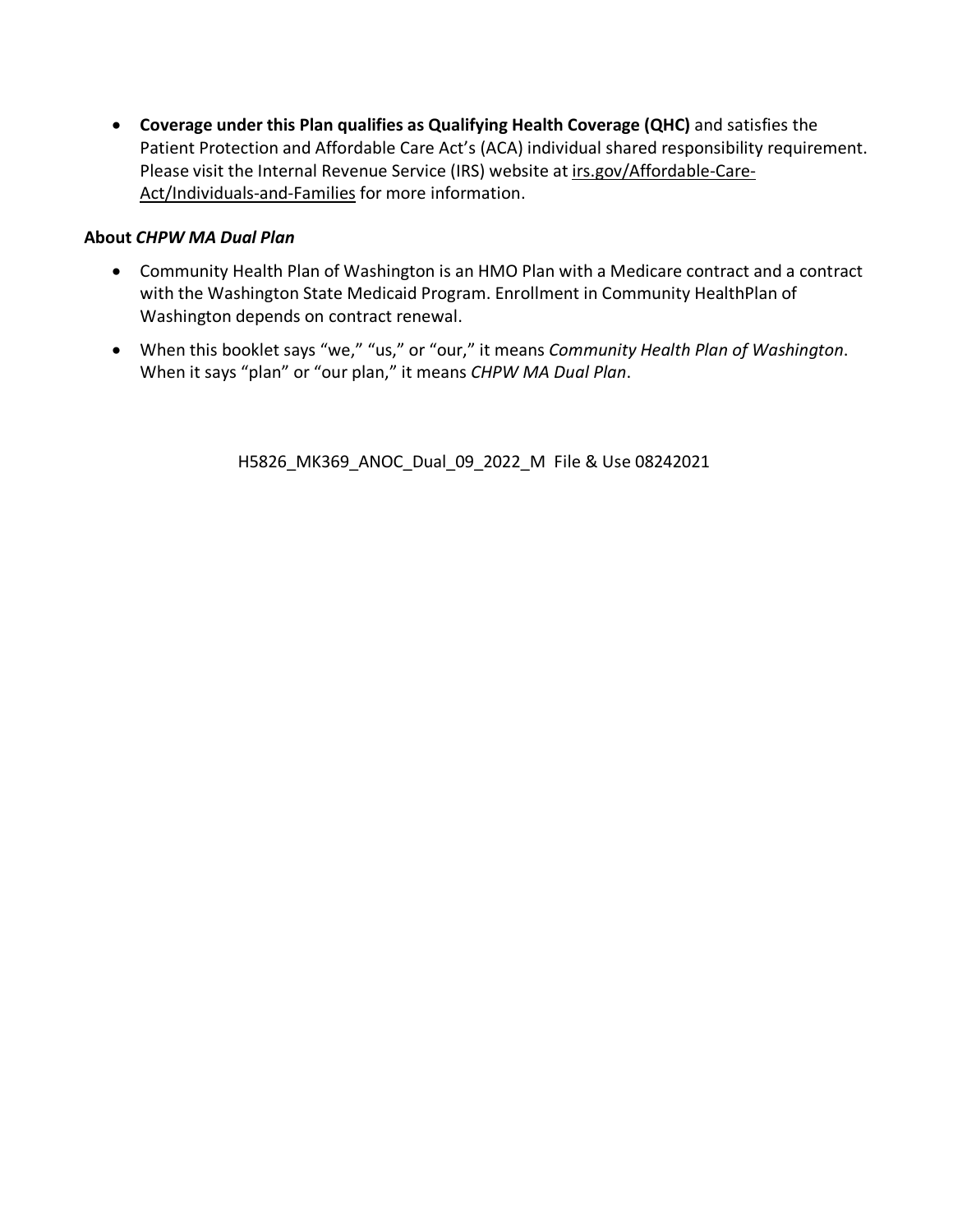• **Coverage under this Plan qualifies as Qualifying Health Coverage (QHC)** and satisfies the Patient Protection and Affordable Care Act's (ACA) individual shared responsibility requirement. Please visit the Internal Revenue Service (IRS) website a[t irs.gov/Affordable-Care-](http://www.irs.gov/Affordable-Care-Act/Individuals-and-Families)[Act/Individuals-and-Families](http://www.irs.gov/Affordable-Care-Act/Individuals-and-Families) for more information.

### **About** *CHPW MA Dual Plan*

- Community Health Plan of Washington is an HMO Plan with a Medicare contract and a contract with the Washington State Medicaid Program. Enrollment in Community HealthPlan of Washington depends on contract renewal.
- When this booklet says "we," "us," or "our," it means *Community Health Plan of Washington*. When it says "plan" or "our plan," it means *CHPW MA Dual Plan*.

H5826\_MK369\_ANOC\_Dual\_09\_2022\_M File & Use 08242021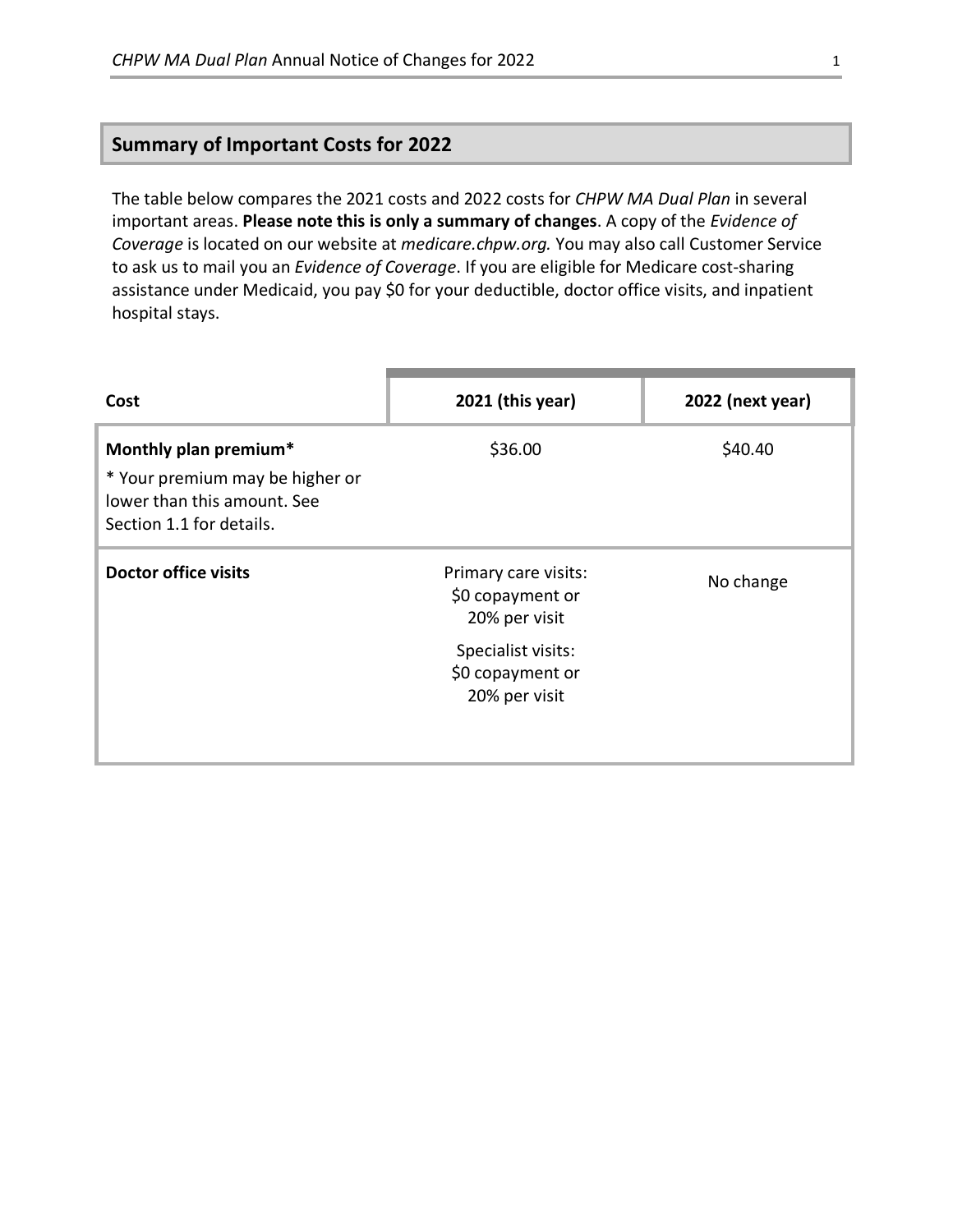# **Summary of Important Costs for 2022**

The table below compares the 2021 costs and 2022 costs for *CHPW MA Dual Plan* in several important areas. **Please note this is only a summary of changes**. A copy of the *Evidence of Coverage* is located on our website at *medicare.chpw.org.* You may also call Customer Service to ask us to mail you an *Evidence of Coverage*. If you are eligible for Medicare cost-sharing assistance under Medicaid, you pay \$0 for your deductible, doctor office visits, and inpatient hospital stays.

| Cost                                                                                                                | 2021 (this year)                                          | 2022 (next year) |
|---------------------------------------------------------------------------------------------------------------------|-----------------------------------------------------------|------------------|
| Monthly plan premium*<br>* Your premium may be higher or<br>lower than this amount. See<br>Section 1.1 for details. | \$36.00                                                   | \$40.40          |
| Doctor office visits                                                                                                | Primary care visits:<br>\$0 copayment or<br>20% per visit | No change        |
|                                                                                                                     | Specialist visits:<br>\$0 copayment or<br>20% per visit   |                  |
|                                                                                                                     |                                                           |                  |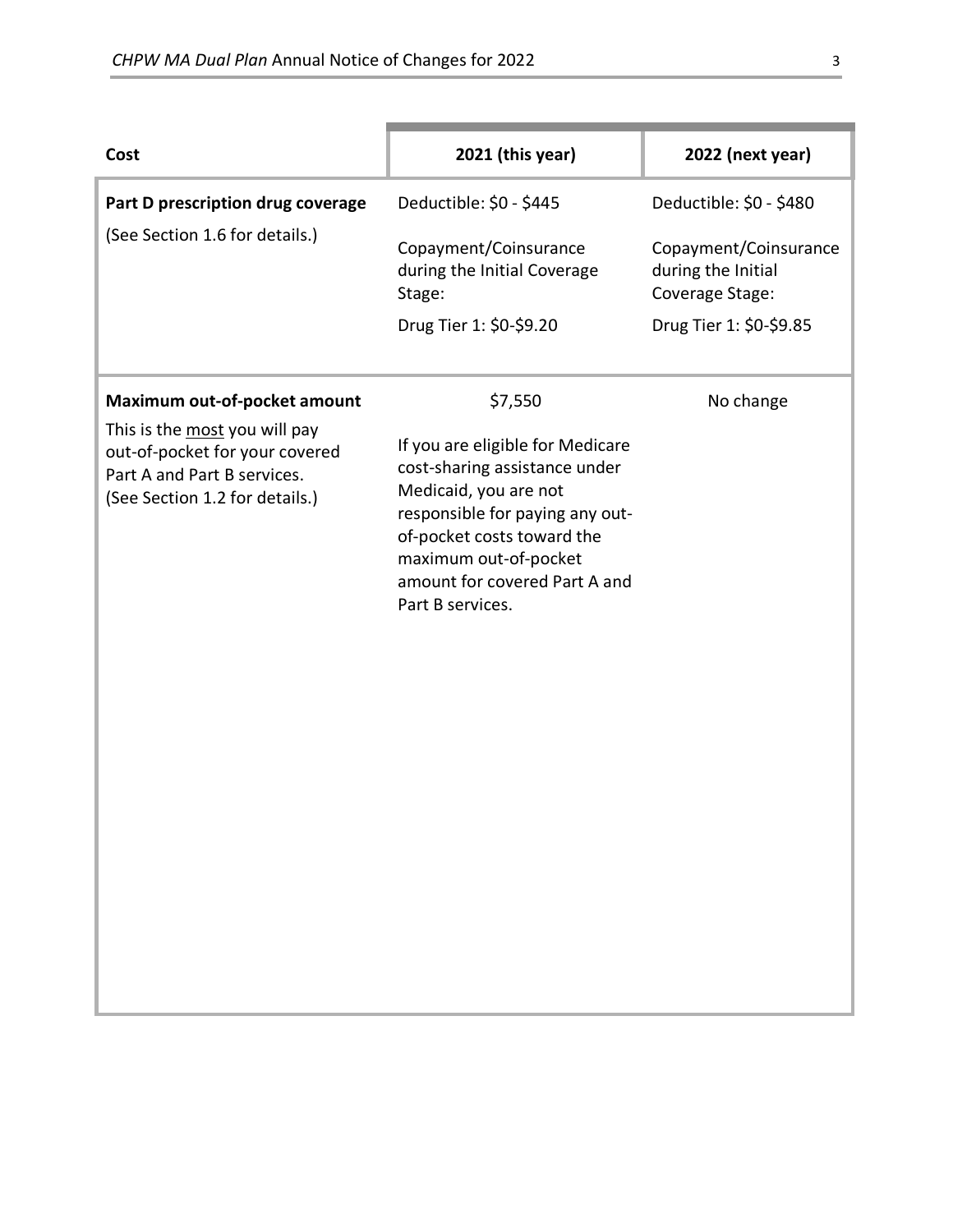| Cost                                                                                                                             | 2021 (this year)                                                                                                                                                                                                                          | 2022 (next year)                                               |
|----------------------------------------------------------------------------------------------------------------------------------|-------------------------------------------------------------------------------------------------------------------------------------------------------------------------------------------------------------------------------------------|----------------------------------------------------------------|
| Part D prescription drug coverage                                                                                                | Deductible: \$0 - \$445                                                                                                                                                                                                                   | Deductible: \$0 - \$480                                        |
| (See Section 1.6 for details.)                                                                                                   | Copayment/Coinsurance<br>during the Initial Coverage<br>Stage:                                                                                                                                                                            | Copayment/Coinsurance<br>during the Initial<br>Coverage Stage: |
|                                                                                                                                  | Drug Tier 1: \$0-\$9.20                                                                                                                                                                                                                   | Drug Tier 1: \$0-\$9.85                                        |
| Maximum out-of-pocket amount                                                                                                     | \$7,550                                                                                                                                                                                                                                   | No change                                                      |
| This is the most you will pay<br>out-of-pocket for your covered<br>Part A and Part B services.<br>(See Section 1.2 for details.) | If you are eligible for Medicare<br>cost-sharing assistance under<br>Medicaid, you are not<br>responsible for paying any out-<br>of-pocket costs toward the<br>maximum out-of-pocket<br>amount for covered Part A and<br>Part B services. |                                                                |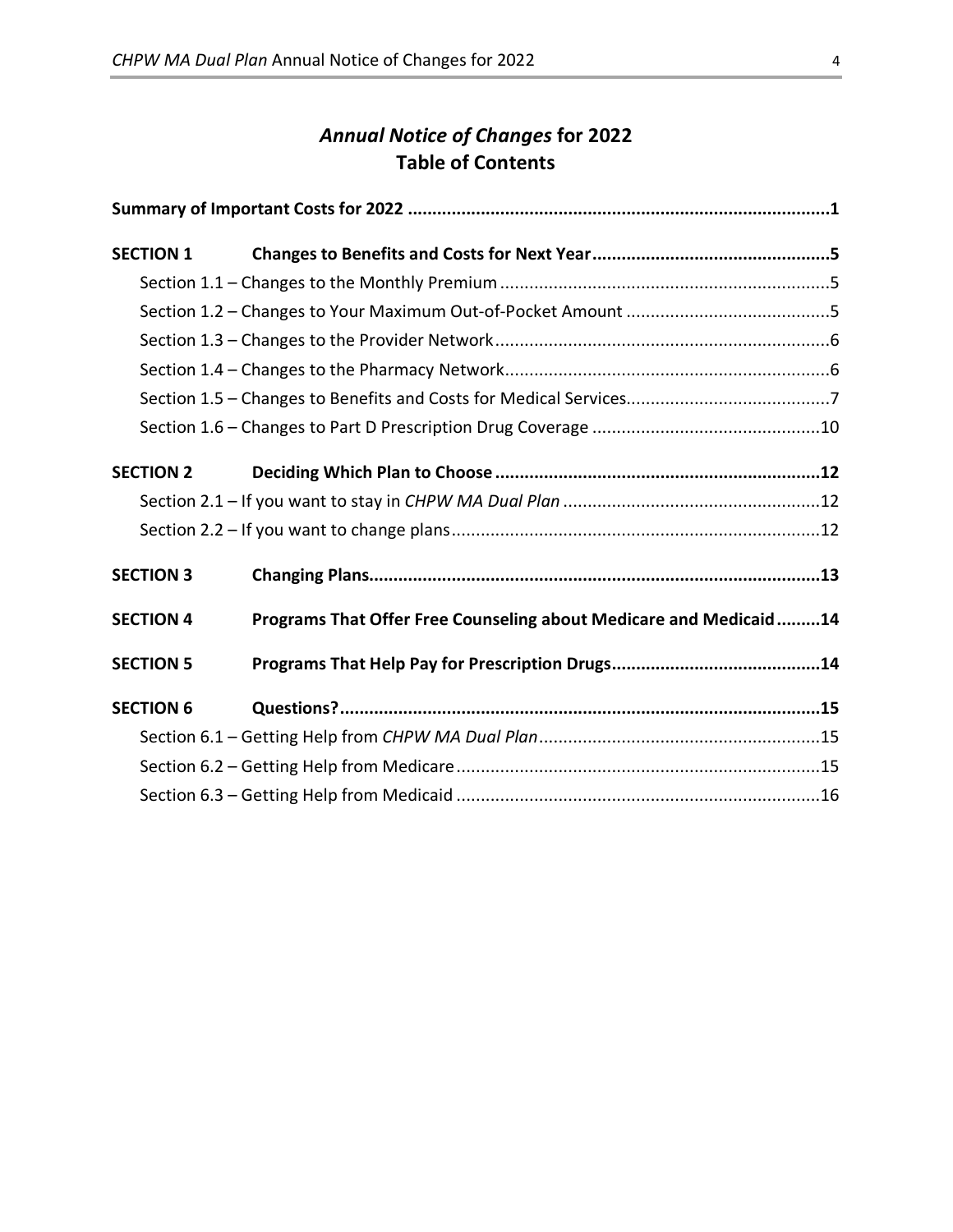# *Annual Notice of Changes* **for 2022 Table of Contents**

| <b>SECTION 1</b> |                                                                   |  |
|------------------|-------------------------------------------------------------------|--|
|                  |                                                                   |  |
|                  |                                                                   |  |
|                  |                                                                   |  |
|                  |                                                                   |  |
|                  |                                                                   |  |
|                  |                                                                   |  |
| <b>SECTION 2</b> |                                                                   |  |
|                  |                                                                   |  |
|                  |                                                                   |  |
| <b>SECTION 3</b> |                                                                   |  |
| <b>SECTION 4</b> | Programs That Offer Free Counseling about Medicare and Medicaid14 |  |
| <b>SECTION 5</b> |                                                                   |  |
| <b>SECTION 6</b> |                                                                   |  |
|                  |                                                                   |  |
|                  |                                                                   |  |
|                  |                                                                   |  |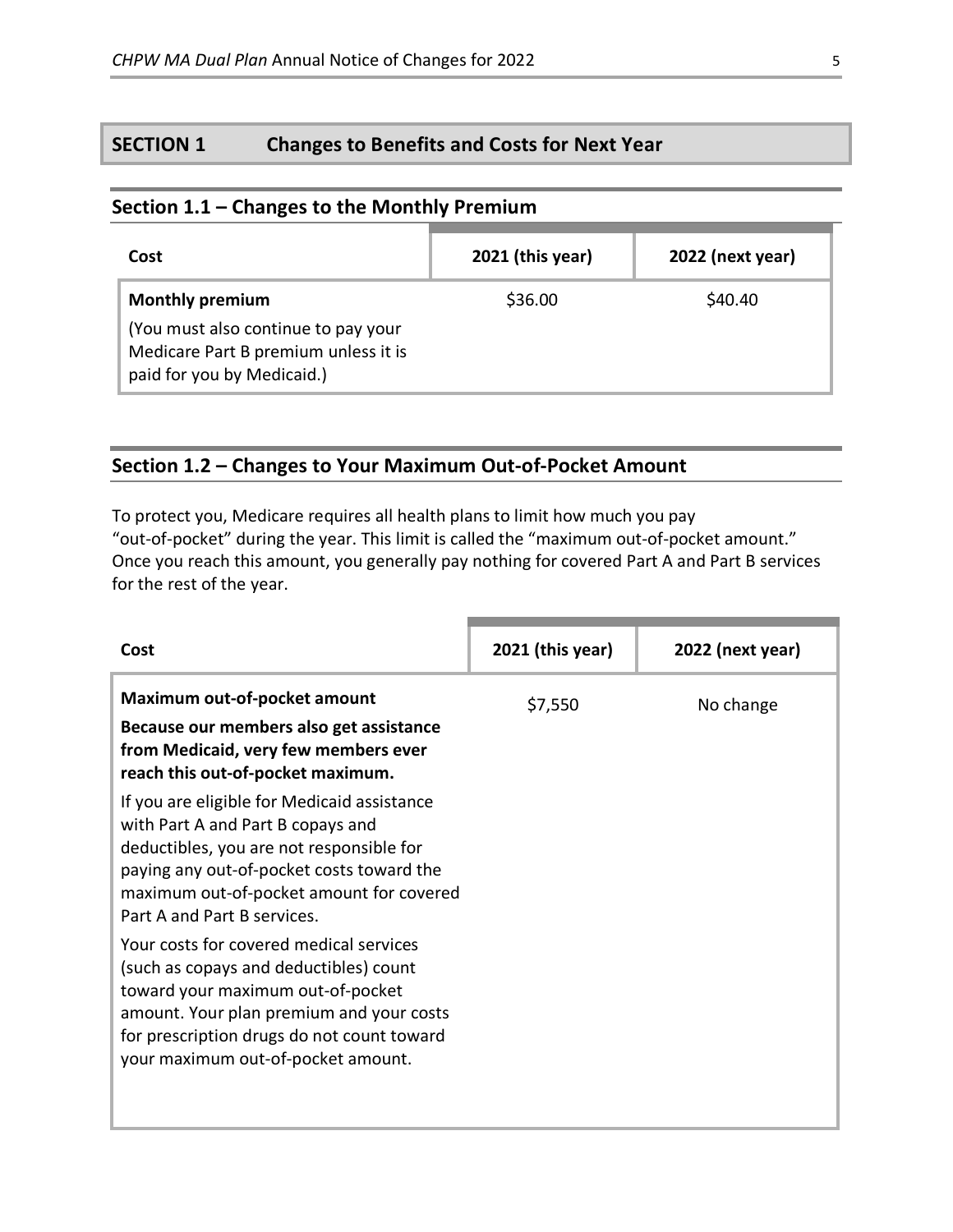# **SECTION 1 Changes to Benefits and Costs for Next Year**

### **Section 1.1 – Changes to the Monthly Premium**

| Cost                                                                                                                                | 2021 (this year) | 2022 (next year) |
|-------------------------------------------------------------------------------------------------------------------------------------|------------------|------------------|
| <b>Monthly premium</b><br>(You must also continue to pay your<br>Medicare Part B premium unless it is<br>paid for you by Medicaid.) | \$36.00          | \$40.40          |

# **Section 1.2 – Changes to Your Maximum Out-of-Pocket Amount**

To protect you, Medicare requires all health plans to limit how much you pay "out-of-pocket" during the year. This limit is called the "maximum out-of-pocket amount." Once you reach this amount, you generally pay nothing for covered Part A and Part B services for the rest of the year.

| Cost                                                                                                                                                                                                                                                   | 2021 (this year) | 2022 (next year) |
|--------------------------------------------------------------------------------------------------------------------------------------------------------------------------------------------------------------------------------------------------------|------------------|------------------|
| Maximum out-of-pocket amount<br>Because our members also get assistance<br>from Medicaid, very few members ever<br>reach this out-of-pocket maximum.                                                                                                   | \$7,550          | No change        |
| If you are eligible for Medicaid assistance<br>with Part A and Part B copays and<br>deductibles, you are not responsible for<br>paying any out-of-pocket costs toward the<br>maximum out-of-pocket amount for covered<br>Part A and Part B services.   |                  |                  |
| Your costs for covered medical services<br>(such as copays and deductibles) count<br>toward your maximum out-of-pocket<br>amount. Your plan premium and your costs<br>for prescription drugs do not count toward<br>your maximum out-of-pocket amount. |                  |                  |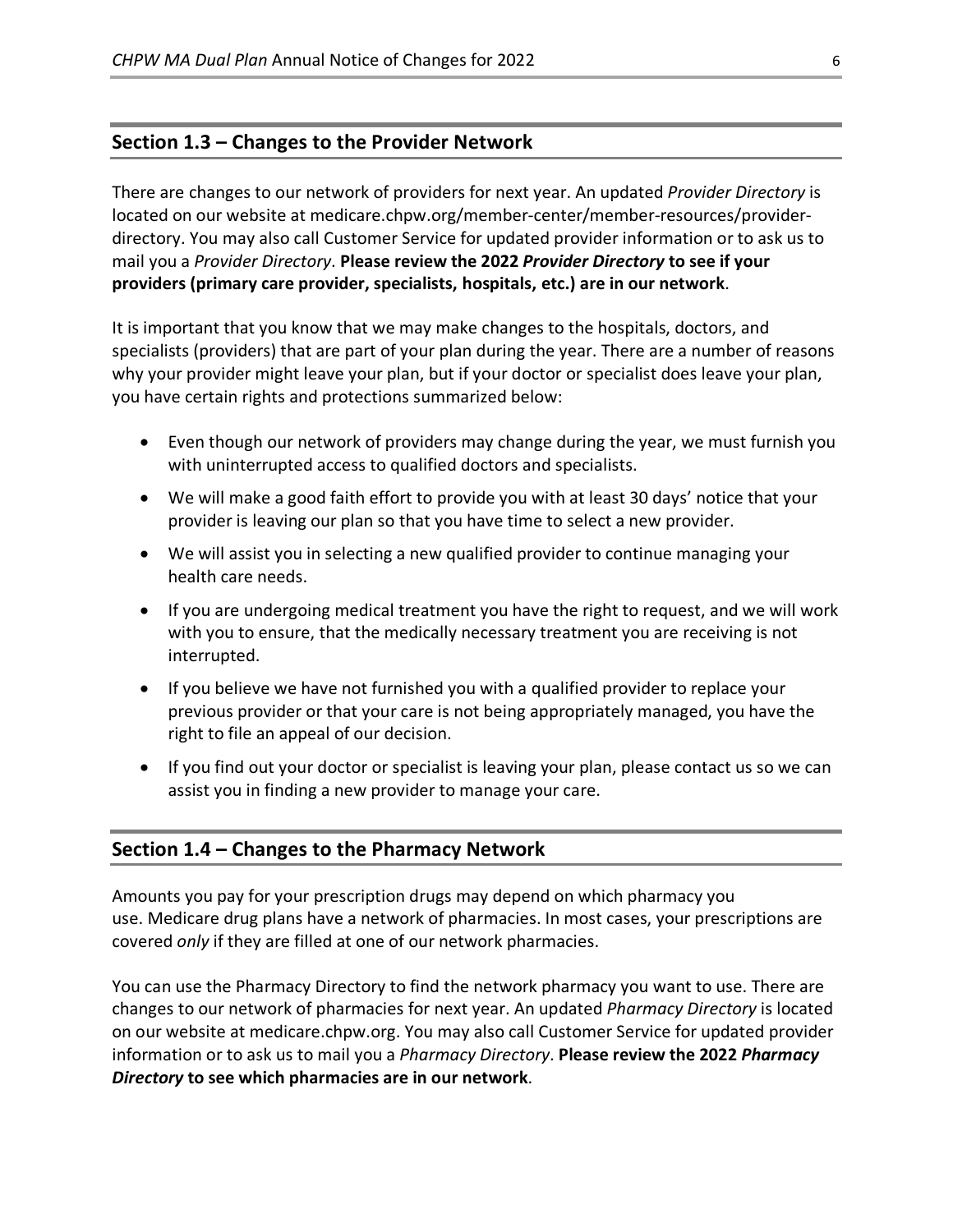### **Section 1.3 – Changes to the Provider Network**

There are changes to our network of providers for next year. An updated *Provider Directory* is located on our website at medicare.chpw.org/member-center/member-resources/providerdirectory. You may also call Customer Service for updated provider information or to ask us to mail you a *Provider Directory*. **Please review the 2022** *Provider Directory* **to see if your providers (primary care provider, specialists, hospitals, etc.) are in our network**.

It is important that you know that we may make changes to the hospitals, doctors, and specialists (providers) that are part of your plan during the year. There are a number of reasons why your provider might leave your plan, but if your doctor or specialist does leave your plan, you have certain rights and protections summarized below:

- Even though our network of providers may change during the year, we must furnish you with uninterrupted access to qualified doctors and specialists.
- We will make a good faith effort to provide you with at least 30 days' notice that your provider is leaving our plan so that you have time to select a new provider.
- We will assist you in selecting a new qualified provider to continue managing your health care needs.
- If you are undergoing medical treatment you have the right to request, and we will work with you to ensure, that the medically necessary treatment you are receiving is not interrupted.
- If you believe we have not furnished you with a qualified provider to replace your previous provider or that your care is not being appropriately managed, you have the right to file an appeal of our decision.
- If you find out your doctor or specialist is leaving your plan, please contact us so we can assist you in finding a new provider to manage your care.

### **Section 1.4 – Changes to the Pharmacy Network**

Amounts you pay for your prescription drugs may depend on which pharmacy you use. Medicare drug plans have a network of pharmacies. In most cases, your prescriptions are covered *only* if they are filled at one of our network pharmacies.

You can use the Pharmacy Directory to find the network pharmacy you want to use. There are changes to our network of pharmacies for next year. An updated *Pharmacy Directory* is located on our website at medicare.chpw.org. You may also call Customer Service for updated provider information or to ask us to mail you a *Pharmacy Directory*. **Please review the 2022** *Pharmacy Directory* **to see which pharmacies are in our network**.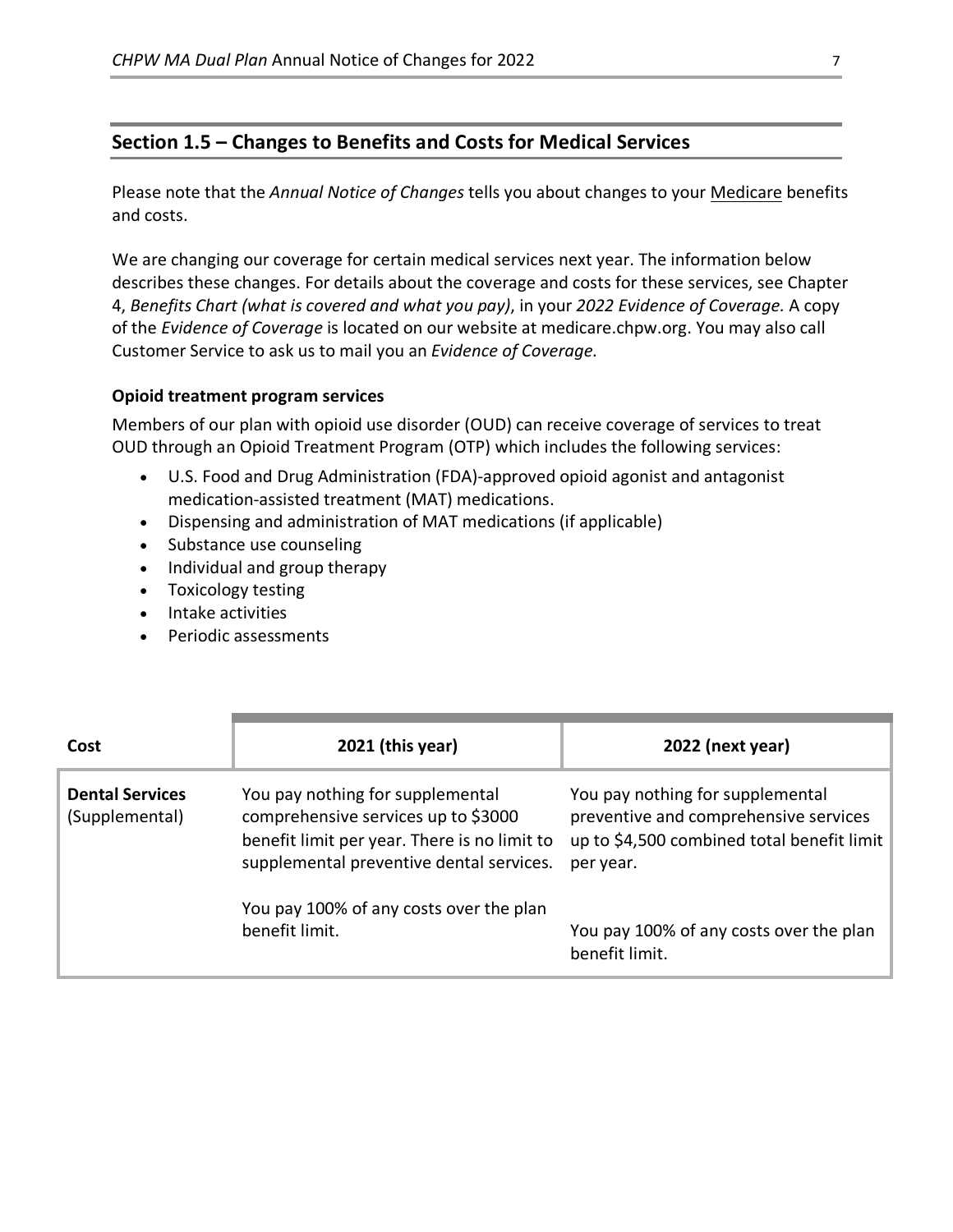### **Section 1.5 – Changes to Benefits and Costs for Medical Services**

Please note that the *Annual Notice of Changes* tells you about changes to your Medicare benefits and costs.

We are changing our coverage for certain medical services next year. The information below describes these changes. For details about the coverage and costs for these services, see Chapter 4, *Benefits Chart (what is covered and what you pay)*, in your *2022 Evidence of Coverage.* A copy of the *Evidence of Coverage* is located on our website at medicare.chpw.org. You may also call Customer Service to ask us to mail you an *Evidence of Coverage.*

#### **Opioid treatment program services**

Members of our plan with opioid use disorder (OUD) can receive coverage of services to treat OUD through an Opioid Treatment Program (OTP) which includes the following services:

- U.S. Food and Drug Administration (FDA)-approved opioid agonist and antagonist medication-assisted treatment (MAT) medications.
- Dispensing and administration of MAT medications (if applicable)
- Substance use counseling
- Individual and group therapy
- Toxicology testing
- Intake activities
- Periodic assessments

| Cost                                     | $2021$ (this year)                                                                                                                                                  | 2022 (next year)                                                                                                                     |
|------------------------------------------|---------------------------------------------------------------------------------------------------------------------------------------------------------------------|--------------------------------------------------------------------------------------------------------------------------------------|
| <b>Dental Services</b><br>(Supplemental) | You pay nothing for supplemental<br>comprehensive services up to \$3000<br>benefit limit per year. There is no limit to<br>supplemental preventive dental services. | You pay nothing for supplemental<br>preventive and comprehensive services<br>up to \$4,500 combined total benefit limit<br>per year. |
|                                          | You pay 100% of any costs over the plan<br>benefit limit.                                                                                                           | You pay 100% of any costs over the plan<br>benefit limit.                                                                            |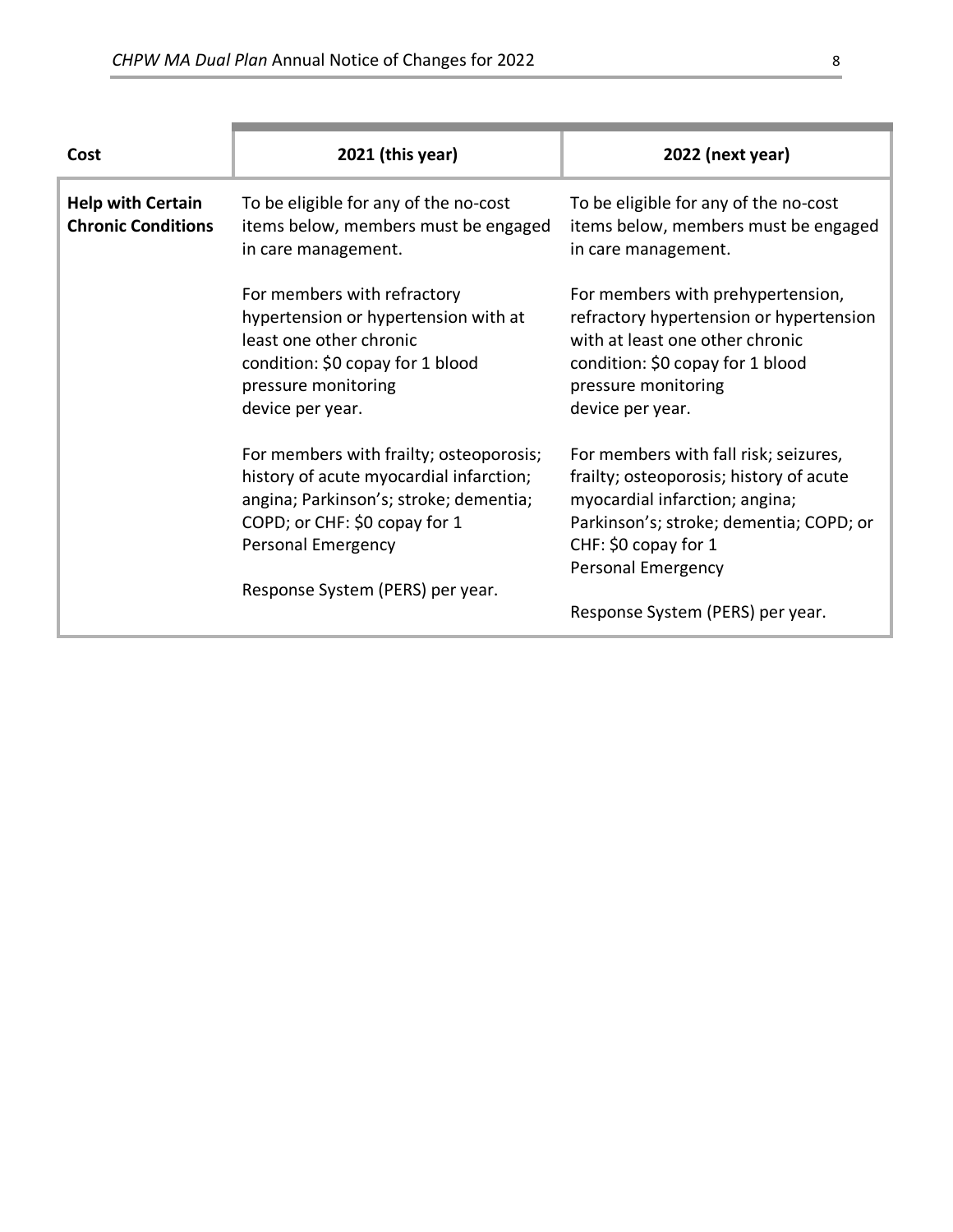| <b>Help with Certain</b><br><b>Chronic Conditions</b> | To be eligible for any of the no-cost<br>items below, members must be engaged<br>in care management.                                                                                                                    | To be eligible for any of the no-cost<br>items below, members must be engaged<br>in care management.                                                                                                                                                   |
|-------------------------------------------------------|-------------------------------------------------------------------------------------------------------------------------------------------------------------------------------------------------------------------------|--------------------------------------------------------------------------------------------------------------------------------------------------------------------------------------------------------------------------------------------------------|
|                                                       | For members with refractory<br>hypertension or hypertension with at<br>least one other chronic<br>condition: \$0 copay for 1 blood<br>pressure monitoring<br>device per year.                                           | For members with prehypertension,<br>refractory hypertension or hypertension<br>with at least one other chronic<br>condition: \$0 copay for 1 blood<br>pressure monitoring<br>device per year.                                                         |
|                                                       | For members with frailty; osteoporosis;<br>history of acute myocardial infarction;<br>angina; Parkinson's; stroke; dementia;<br>COPD; or CHF: \$0 copay for 1<br>Personal Emergency<br>Response System (PERS) per year. | For members with fall risk; seizures,<br>frailty; osteoporosis; history of acute<br>myocardial infarction; angina;<br>Parkinson's; stroke; dementia; COPD; or<br>CHF: \$0 copay for 1<br><b>Personal Emergency</b><br>Response System (PERS) per year. |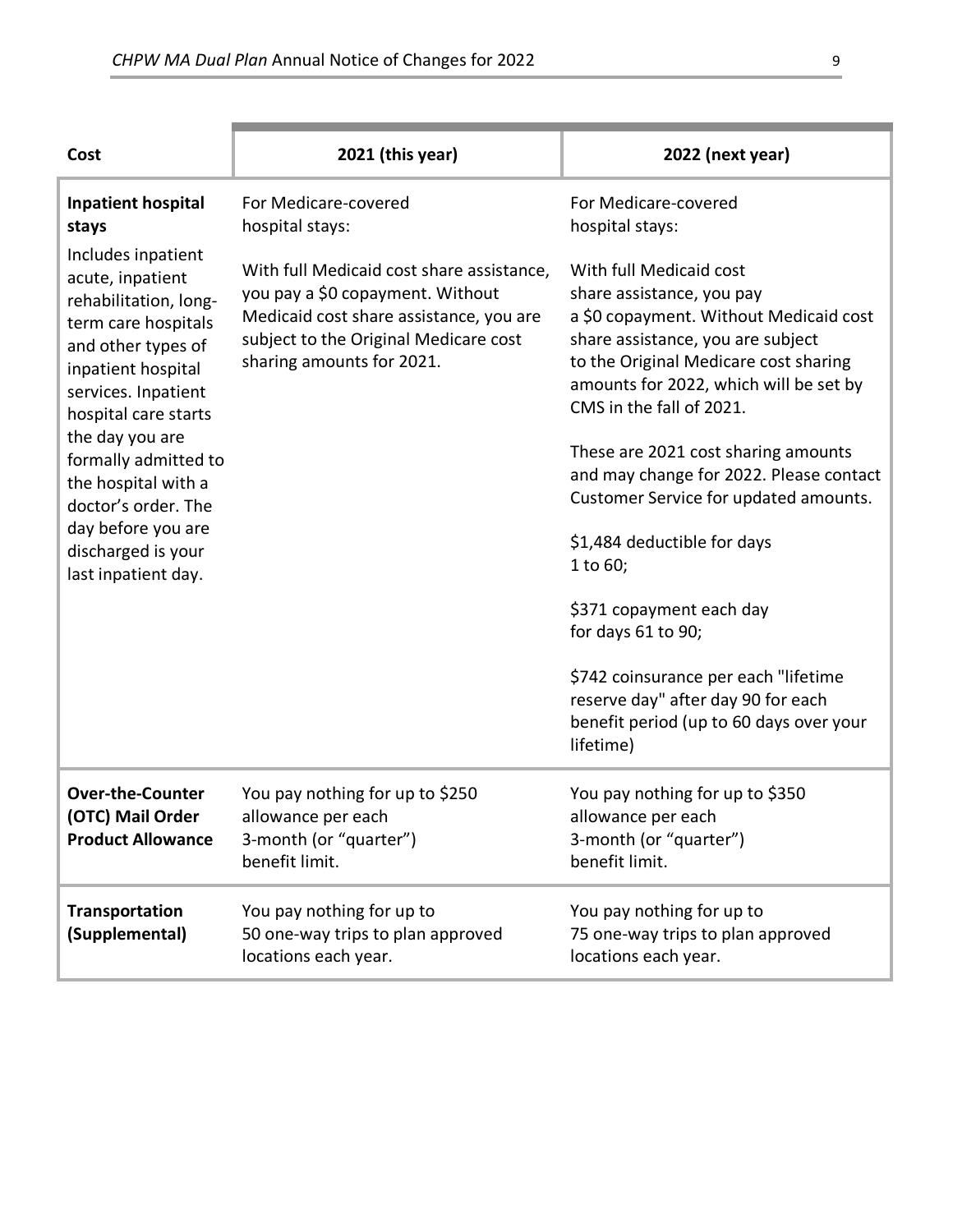| Cost                                                                                                                                                                                                                                                                                                                                                                                | 2021 (this year)                                                                                                                                                                                                                          | 2022 (next year)                                                                                                                                                                                                                                                                                                                                                                                                                                                                                                                                                                                                                                            |
|-------------------------------------------------------------------------------------------------------------------------------------------------------------------------------------------------------------------------------------------------------------------------------------------------------------------------------------------------------------------------------------|-------------------------------------------------------------------------------------------------------------------------------------------------------------------------------------------------------------------------------------------|-------------------------------------------------------------------------------------------------------------------------------------------------------------------------------------------------------------------------------------------------------------------------------------------------------------------------------------------------------------------------------------------------------------------------------------------------------------------------------------------------------------------------------------------------------------------------------------------------------------------------------------------------------------|
| <b>Inpatient hospital</b><br>stays<br>Includes inpatient<br>acute, inpatient<br>rehabilitation, long-<br>term care hospitals<br>and other types of<br>inpatient hospital<br>services. Inpatient<br>hospital care starts<br>the day you are<br>formally admitted to<br>the hospital with a<br>doctor's order. The<br>day before you are<br>discharged is your<br>last inpatient day. | For Medicare-covered<br>hospital stays:<br>With full Medicaid cost share assistance,<br>you pay a \$0 copayment. Without<br>Medicaid cost share assistance, you are<br>subject to the Original Medicare cost<br>sharing amounts for 2021. | For Medicare-covered<br>hospital stays:<br>With full Medicaid cost<br>share assistance, you pay<br>a \$0 copayment. Without Medicaid cost<br>share assistance, you are subject<br>to the Original Medicare cost sharing<br>amounts for 2022, which will be set by<br>CMS in the fall of 2021.<br>These are 2021 cost sharing amounts<br>and may change for 2022. Please contact<br>Customer Service for updated amounts.<br>\$1,484 deductible for days<br>1 to 60;<br>\$371 copayment each day<br>for days 61 to 90;<br>\$742 coinsurance per each "lifetime<br>reserve day" after day 90 for each<br>benefit period (up to 60 days over your<br>lifetime) |
| <b>Over-the-Counter</b><br>(OTC) Mail Order<br><b>Product Allowance</b>                                                                                                                                                                                                                                                                                                             | You pay nothing for up to \$250<br>allowance per each<br>3-month (or "quarter")<br>benefit limit.                                                                                                                                         | You pay nothing for up to \$350<br>allowance per each<br>3-month (or "quarter")<br>benefit limit.                                                                                                                                                                                                                                                                                                                                                                                                                                                                                                                                                           |
| Transportation<br>(Supplemental)                                                                                                                                                                                                                                                                                                                                                    | You pay nothing for up to<br>50 one-way trips to plan approved<br>locations each year.                                                                                                                                                    | You pay nothing for up to<br>75 one-way trips to plan approved<br>locations each year.                                                                                                                                                                                                                                                                                                                                                                                                                                                                                                                                                                      |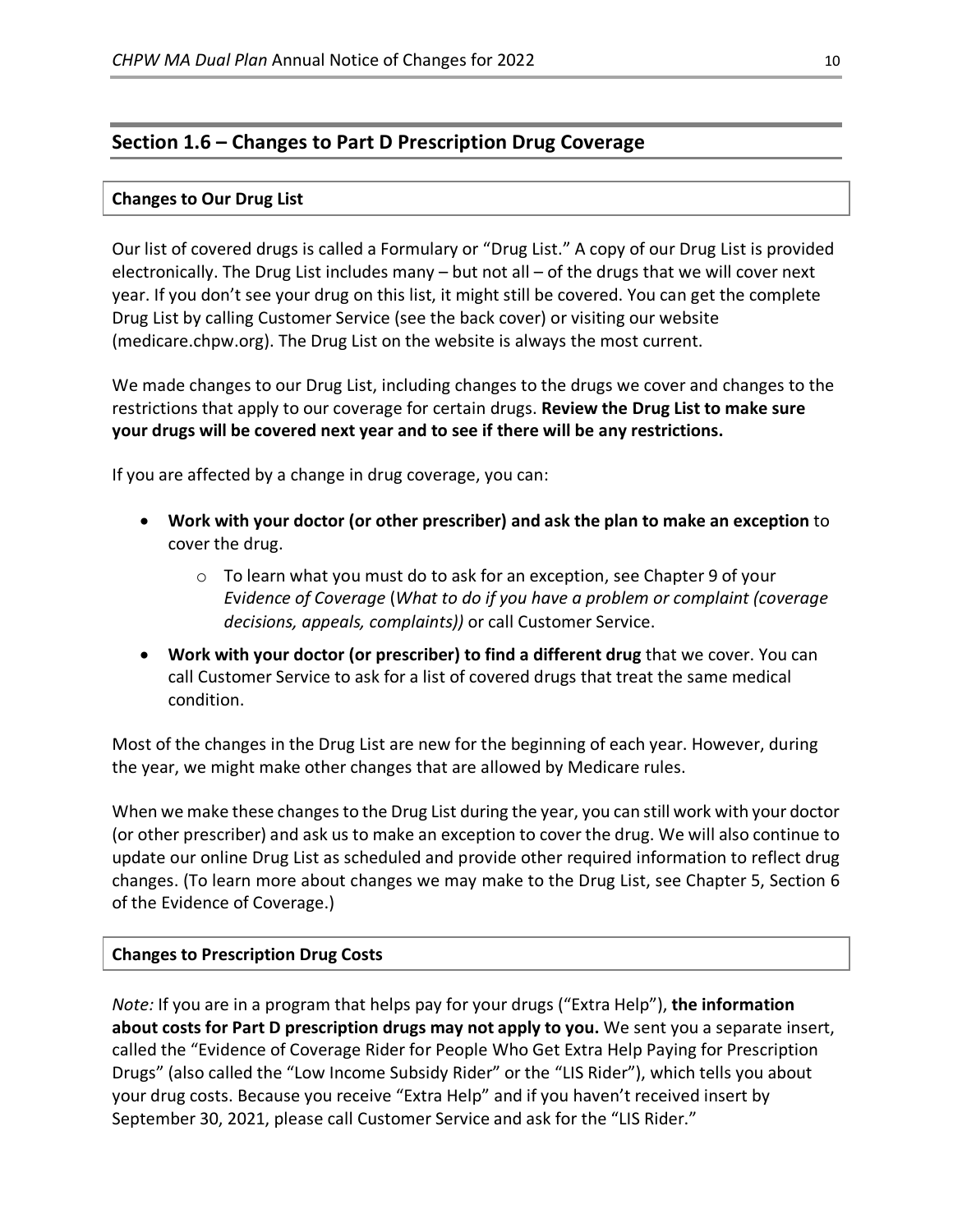### **Section 1.6 – Changes to Part D Prescription Drug Coverage**

#### **Changes to Our Drug List**

Our list of covered drugs is called a Formulary or "Drug List." A copy of our Drug List is provided electronically. The Drug List includes many – but not all – of the drugs that we will cover next year. If you don't see your drug on this list, it might still be covered. You can get the complete Drug List by calling Customer Service (see the back cover) or visiting our website (medicare.chpw.org). The Drug List on the website is always the most current.

We made changes to our Drug List, including changes to the drugs we cover and changes to the restrictions that apply to our coverage for certain drugs. **Review the Drug List to make sure your drugs will be covered next year and to see if there will be any restrictions.**

If you are affected by a change in drug coverage, you can:

- **Work with your doctor (or other prescriber) and ask the plan to make an exception** to cover the drug.
	- $\circ$  To learn what you must do to ask for an exception, see Chapter 9 of your *E*v*idence of Coverage* (*What to do if you have a problem or complaint (coverage decisions, appeals, complaints))* or call Customer Service.
- **Work with your doctor (or prescriber) to find a different drug** that we cover. You can call Customer Service to ask for a list of covered drugs that treat the same medical condition.

Most of the changes in the Drug List are new for the beginning of each year. However, during the year, we might make other changes that are allowed by Medicare rules.

When we make these changes to the Drug List during the year, you can still work with your doctor (or other prescriber) and ask us to make an exception to cover the drug. We will also continue to update our online Drug List as scheduled and provide other required information to reflect drug changes. (To learn more about changes we may make to the Drug List, see Chapter 5, Section 6 of the Evidence of Coverage.)

### **Changes to Prescription Drug Costs**

*Note:* If you are in a program that helps pay for your drugs ("Extra Help"), **the information about costs for Part D prescription drugs may not apply to you.** We sent you a separate insert, called the "Evidence of Coverage Rider for People Who Get Extra Help Paying for Prescription Drugs" (also called the "Low Income Subsidy Rider" or the "LIS Rider"), which tells you about your drug costs. Because you receive "Extra Help" and if you haven't received insert by September 30, 2021, please call Customer Service and ask for the "LIS Rider."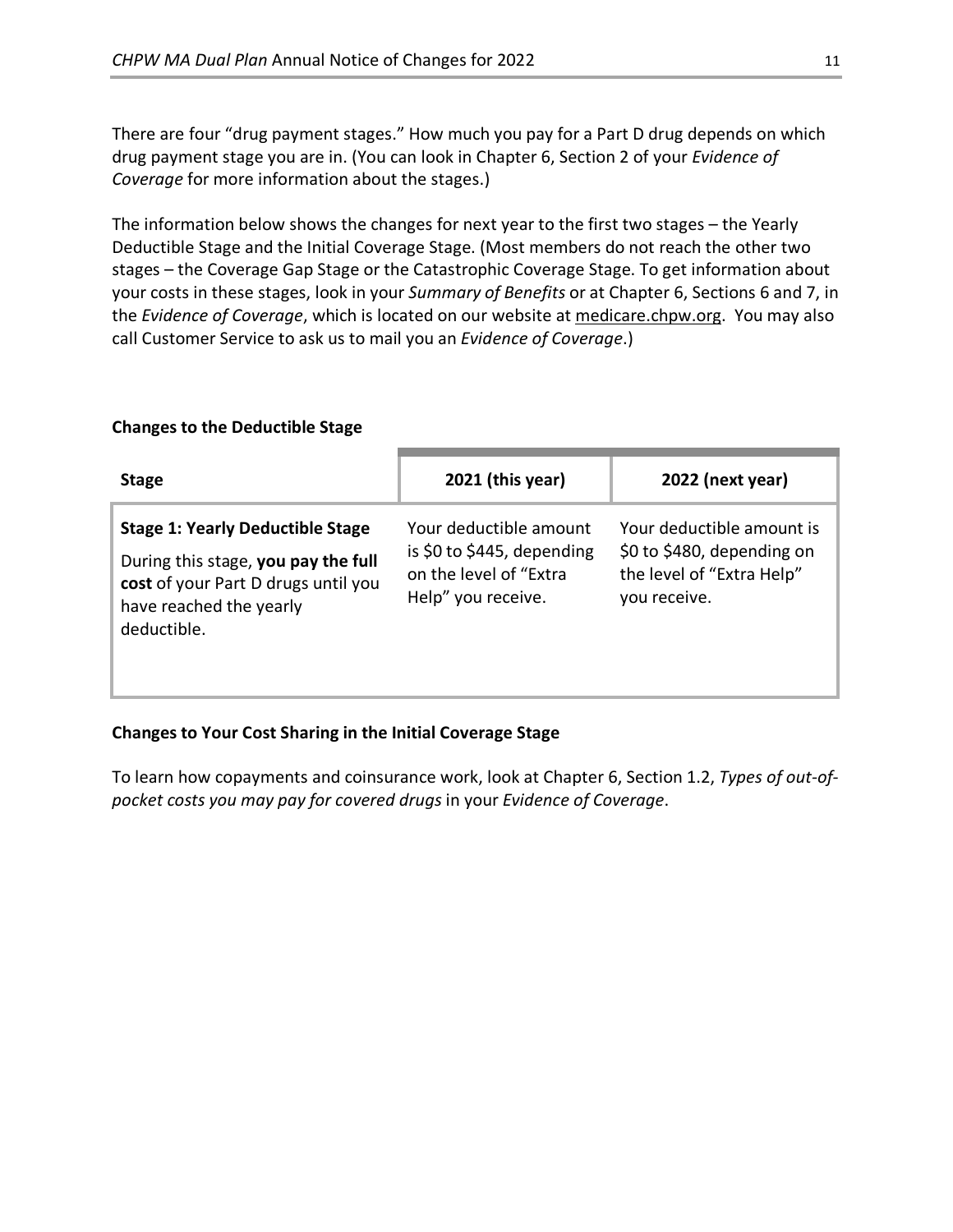There are four "drug payment stages." How much you pay for a Part D drug depends on which drug payment stage you are in. (You can look in Chapter 6, Section 2 of your *Evidence of Coverage* for more information about the stages.)

The information below shows the changes for next year to the first two stages – the Yearly Deductible Stage and the Initial Coverage Stage. (Most members do not reach the other two stages – the Coverage Gap Stage or the Catastrophic Coverage Stage. To get information about your costs in these stages, look in your *Summary of Benefits* or at Chapter 6, Sections 6 and 7, in the *Evidence of Coverage*, which is located on our website a[t medicare.chpw.org.](https://medicare.chpw.org/) You may also call Customer Service to ask us to mail you an *Evidence of Coverage*.)

### **Changes to the Deductible Stage**

| <b>Stage</b>                                                                                                                                                    | $2021$ (this year)                                                                                   | 2022 (next year)                                                                                     |
|-----------------------------------------------------------------------------------------------------------------------------------------------------------------|------------------------------------------------------------------------------------------------------|------------------------------------------------------------------------------------------------------|
| <b>Stage 1: Yearly Deductible Stage</b><br>During this stage, you pay the full<br>cost of your Part D drugs until you<br>have reached the yearly<br>deductible. | Your deductible amount<br>is \$0 to \$445, depending<br>on the level of "Extra<br>Help" you receive. | Your deductible amount is<br>\$0 to \$480, depending on<br>the level of "Extra Help"<br>you receive. |

### **Changes to Your Cost Sharing in the Initial Coverage Stage**

To learn how copayments and coinsurance work, look at Chapter 6, Section 1.2, *Types of out-ofpocket costs you may pay for covered drugs* in your *Evidence of Coverage*.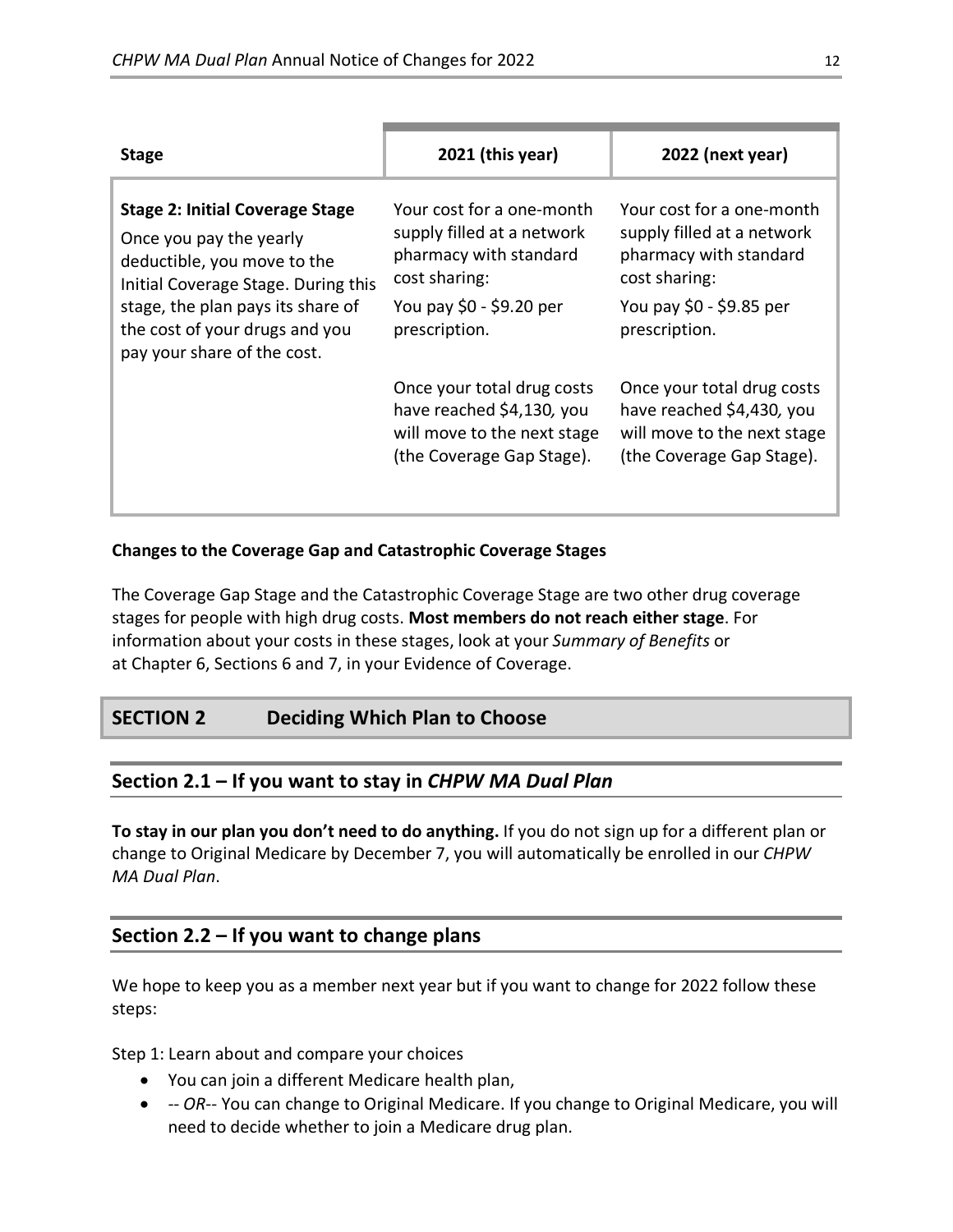| <b>Stage</b>                                                                                                                                                                                                                                  | 2021 (this year)                                                                                                                                | 2022 (next year)                                                                                                                                |
|-----------------------------------------------------------------------------------------------------------------------------------------------------------------------------------------------------------------------------------------------|-------------------------------------------------------------------------------------------------------------------------------------------------|-------------------------------------------------------------------------------------------------------------------------------------------------|
| <b>Stage 2: Initial Coverage Stage</b><br>Once you pay the yearly<br>deductible, you move to the<br>Initial Coverage Stage. During this<br>stage, the plan pays its share of<br>the cost of your drugs and you<br>pay your share of the cost. | Your cost for a one-month<br>supply filled at a network<br>pharmacy with standard<br>cost sharing:<br>You pay \$0 - \$9.20 per<br>prescription. | Your cost for a one-month<br>supply filled at a network<br>pharmacy with standard<br>cost sharing:<br>You pay \$0 - \$9.85 per<br>prescription. |
|                                                                                                                                                                                                                                               | Once your total drug costs<br>have reached \$4,130, you<br>will move to the next stage<br>(the Coverage Gap Stage).                             | Once your total drug costs<br>have reached \$4,430, you<br>will move to the next stage<br>(the Coverage Gap Stage).                             |

### **Changes to the Coverage Gap and Catastrophic Coverage Stages**

The Coverage Gap Stage and the Catastrophic Coverage Stage are two other drug coverage stages for people with high drug costs. **Most members do not reach either stage**. For information about your costs in these stages, look at your *Summary of Benefits* or at Chapter 6, Sections 6 and 7, in your Evidence of Coverage.

# **SECTION 2 Deciding Which Plan to Choose**

# **Section 2.1 – If you want to stay in** *CHPW MA Dual Plan*

**To stay in our plan you don't need to do anything.** If you do not sign up for a different plan or change to Original Medicare by December 7, you will automatically be enrolled in our *CHPW MA Dual Plan*.

# **Section 2.2 – If you want to change plans**

We hope to keep you as a member next year but if you want to change for 2022 follow these steps:

Step 1: Learn about and compare your choices

- You can join a different Medicare health plan,
- *-- OR*-- You can change to Original Medicare. If you change to Original Medicare, you will need to decide whether to join a Medicare drug plan.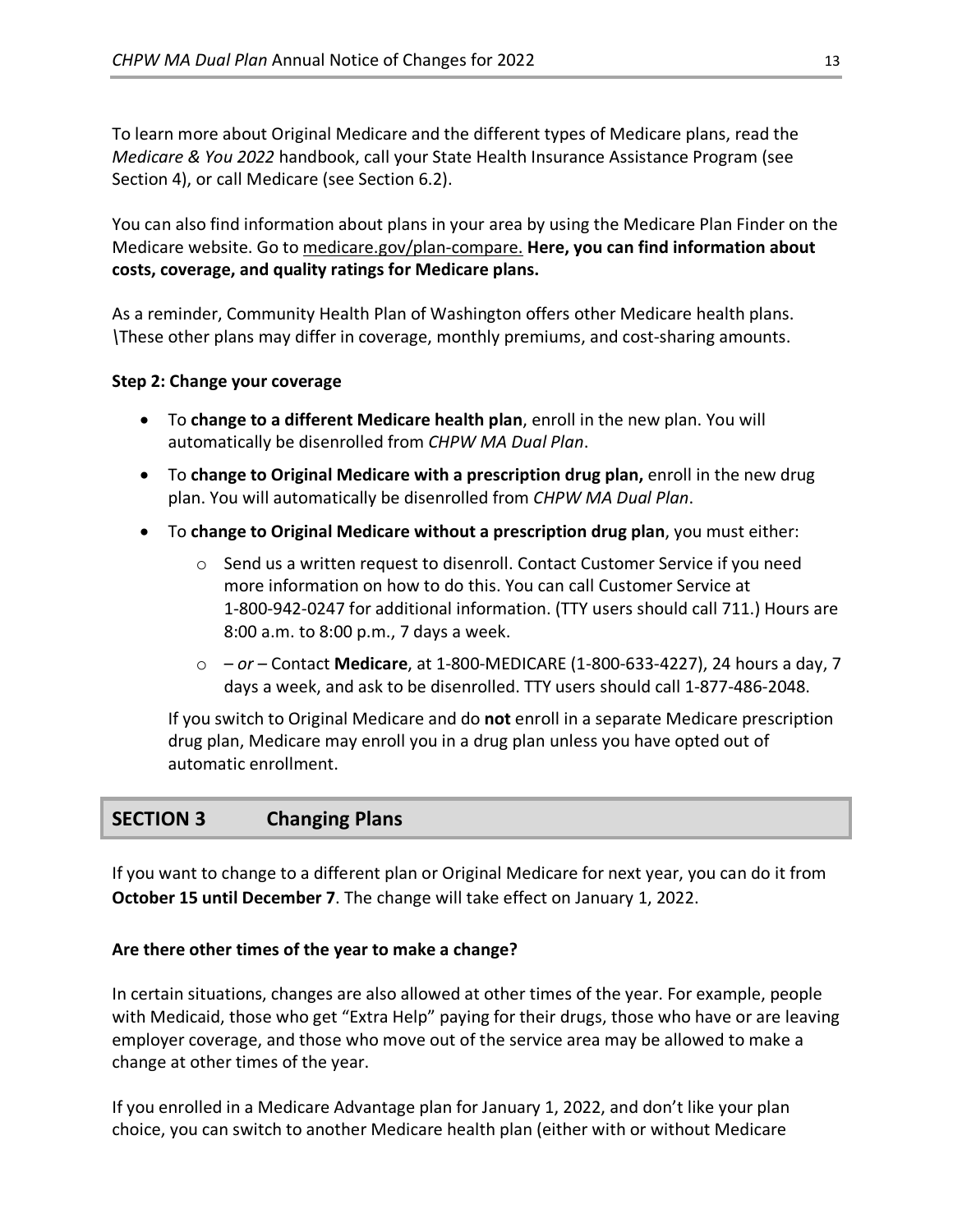To learn more about Original Medicare and the different types of Medicare plans, read the *Medicare & You 2022* handbook, call your State Health Insurance Assistance Program (see Section 4), or call Medicare (see Section 6.2).

You can also find information about plans in your area by using the Medicare Plan Finder on the Medicare website. Go t[o medicare.gov/plan-compare.](http://www.medicare.gov/plan-compare) **Here, you can find information about costs, coverage, and quality ratings for Medicare plans.**

As a reminder, Community Health Plan of Washington offers other Medicare health plans. *\*These other plans may differ in coverage, monthly premiums, and cost-sharing amounts.

### **Step 2: Change your coverage**

- To **change to a different Medicare health plan**, enroll in the new plan. You will automatically be disenrolled from *CHPW MA Dual Plan*.
- To **change to Original Medicare with a prescription drug plan,** enroll in the new drug plan. You will automatically be disenrolled from *CHPW MA Dual Plan*.
- To **change to Original Medicare without a prescription drug plan**, you must either:
	- $\circ$  Send us a written request to disenroll. Contact Customer Service if you need more information on how to do this. You can call Customer Service at 1-800-942-0247 for additional information. (TTY users should call 711.) Hours are 8:00 a.m. to 8:00 p.m., 7 days a week.
	- o  *or –* Contact **Medicare**, at 1-800-MEDICARE (1-800-633-4227), 24 hours a day, 7 days a week, and ask to be disenrolled. TTY users should call 1-877-486-2048.

If you switch to Original Medicare and do **not** enroll in a separate Medicare prescription drug plan, Medicare may enroll you in a drug plan unless you have opted out of automatic enrollment.

# **SECTION 3 Changing Plans**

If you want to change to a different plan or Original Medicare for next year, you can do it from **October 15 until December 7**. The change will take effect on January 1, 2022.

### **Are there other times of the year to make a change?**

In certain situations, changes are also allowed at other times of the year. For example, people with Medicaid, those who get "Extra Help" paying for their drugs, those who have or are leaving employer coverage, and those who move out of the service area may be allowed to make a change at other times of the year.

If you enrolled in a Medicare Advantage plan for January 1, 2022, and don't like your plan choice, you can switch to another Medicare health plan (either with or without Medicare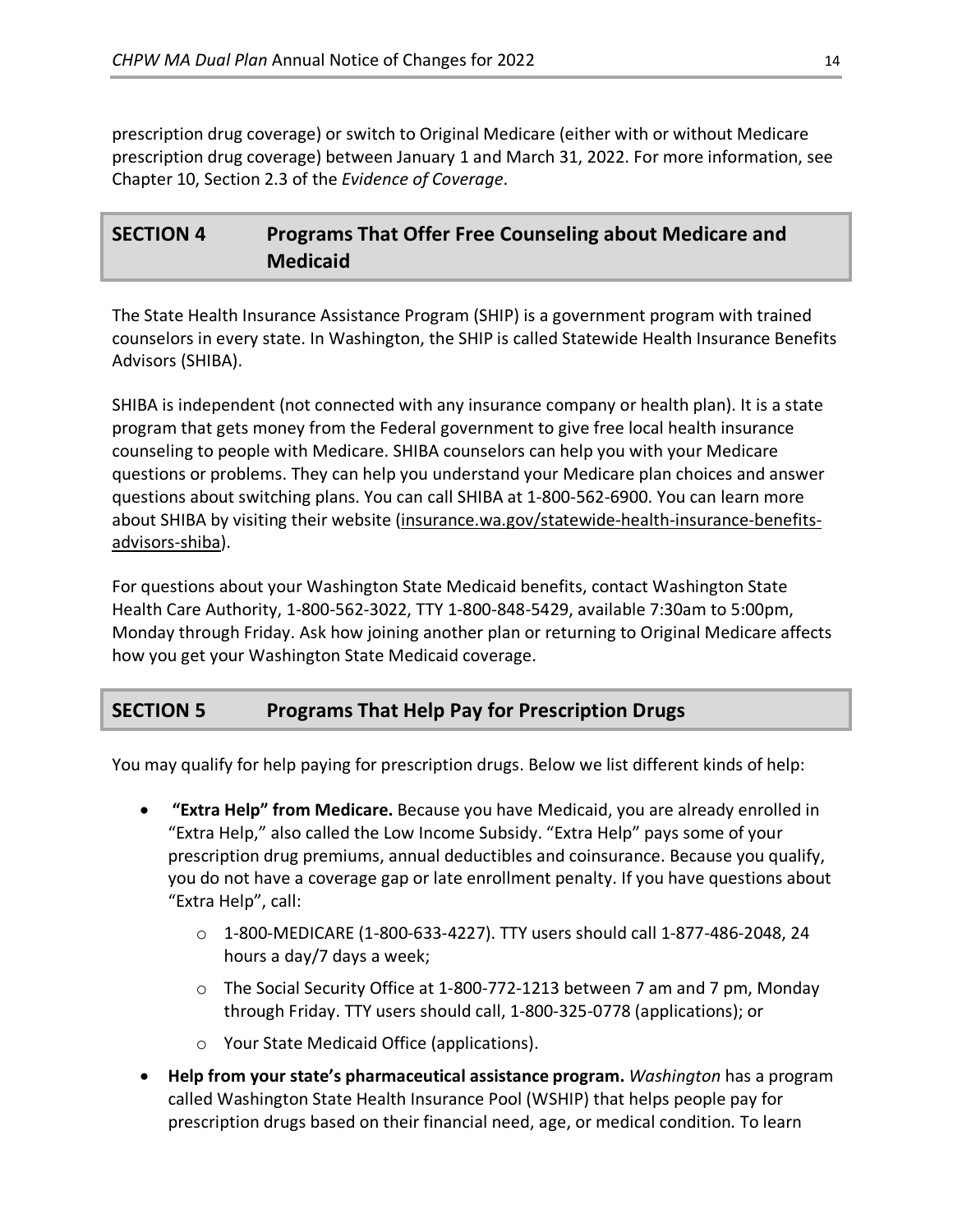prescription drug coverage) or switch to Original Medicare (either with or without Medicare prescription drug coverage) between January 1 and March 31, 2022. For more information, see Chapter 10, Section 2.3 of the *Evidence of Coverage*.

# **SECTION 4 Programs That Offer Free Counseling about Medicare and Medicaid**

The State Health Insurance Assistance Program (SHIP) is a government program with trained counselors in every state. In Washington, the SHIP is called Statewide Health Insurance Benefits Advisors (SHIBA).

SHIBA is independent (not connected with any insurance company or health plan). It is a state program that gets money from the Federal government to give free local health insurance counseling to people with Medicare. SHIBA counselors can help you with your Medicare questions or problems. They can help you understand your Medicare plan choices and answer questions about switching plans. You can call SHIBA at 1-800-562-6900. You can learn more about SHIBA by visiting their website [\(insurance.wa.gov/statewide-health-insurance-benefits](http://www.insurance.wa.gov/statewide-health-insurance-benefits-advisors-shiba)[advisors-shiba\)](http://www.insurance.wa.gov/statewide-health-insurance-benefits-advisors-shiba).

For questions about your Washington State Medicaid benefits, contact Washington State Health Care Authority, 1-800-562-3022, TTY 1-800-848-5429, available 7:30am to 5:00pm, Monday through Friday. Ask how joining another plan or returning to Original Medicare affects how you get your Washington State Medicaid coverage.

# **SECTION 5 Programs That Help Pay for Prescription Drugs**

You may qualify for help paying for prescription drugs. Below we list different kinds of help:

- **"Extra Help" from Medicare.** Because you have Medicaid, you are already enrolled in "Extra Help," also called the Low Income Subsidy. "Extra Help" pays some of your prescription drug premiums, annual deductibles and coinsurance. Because you qualify, you do not have a coverage gap or late enrollment penalty. If you have questions about "Extra Help", call:
	- $\circ$  1-800-MEDICARE (1-800-633-4227). TTY users should call 1-877-486-2048, 24 hours a day/7 days a week;
	- o The Social Security Office at 1-800-772-1213 between 7 am and 7 pm, Monday through Friday. TTY users should call, 1-800-325-0778 (applications); or
	- o Your State Medicaid Office (applications).
- **Help from your state's pharmaceutical assistance program.** *Washington* has a program called Washington State Health Insurance Pool (WSHIP) that helps people pay for prescription drugs based on their financial need, age, or medical condition*.* To learn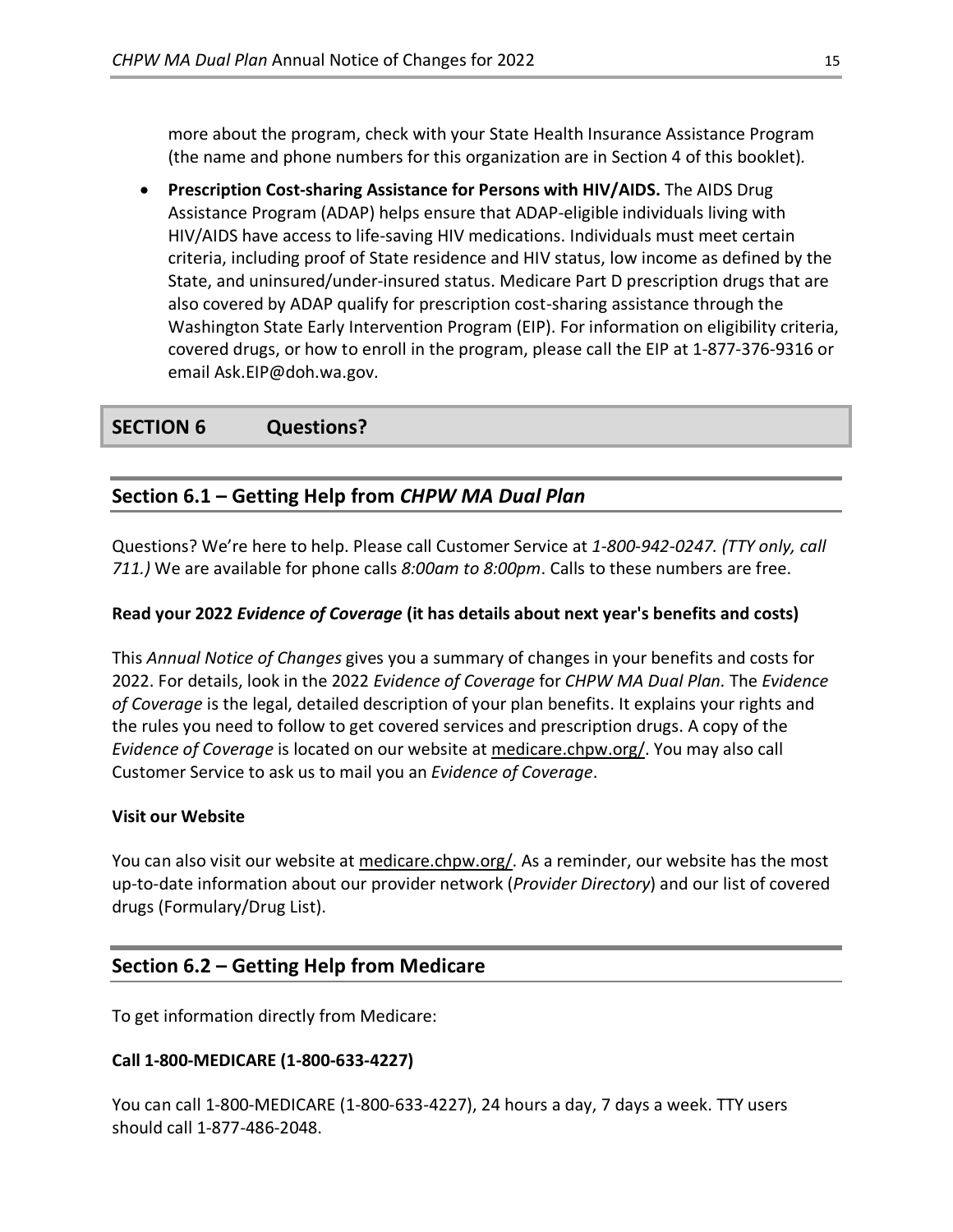more about the program, check with your State Health Insurance Assistance Program (the name and phone numbers for this organization are in Section 4 of this booklet)*.*

• **Prescription Cost-sharing Assistance for Persons with HIV/AIDS.** The AIDS Drug Assistance Program (ADAP) helps ensure that ADAP-eligible individuals living with HIV/AIDS have access to life-saving HIV medications. Individuals must meet certain criteria, including proof of State residence and HIV status, low income as defined by the State, and uninsured/under-insured status. Medicare Part D prescription drugs that are also covered by ADAP qualify for prescription cost-sharing assistance through the Washington State Early Intervention Program (EIP). For information on eligibility criteria, covered drugs, or how to enroll in the program, please call the EIP at 1-877-376-9316 or email Ask.EIP@doh.wa.gov.

# **SECTION 6 Questions?**

# **Section 6.1 – Getting Help from** *CHPW MA Dual Plan*

Questions? We're here to help. Please call Customer Service at *1-800-942-0247. (TTY only, call 711.)* We are available for phone calls *8:00am to 8:00pm*. Calls to these numbers are free.

### **Read your 2022** *Evidence of Coverage* **(it has details about next year's benefits and costs)**

This *Annual Notice of Changes* gives you a summary of changes in your benefits and costs for 2022. For details, look in the 2022 *Evidence of Coverage* for *CHPW MA Dual Plan.* The *Evidence of Coverage* is the legal, detailed description of your plan benefits. It explains your rights and the rules you need to follow to get covered services and prescription drugs. A copy of the *Evidence of Coverage* is located on our website at [medicare.chpw.org/.](https://medicare.chpw.org/) You may also call Customer Service to ask us to mail you an *Evidence of Coverage*.

### **Visit our Website**

You can also visit our website at [medicare.chpw.org/.](https://medicare.chpw.org/) As a reminder, our website has the most up-to-date information about our provider network (*Provider Directory*) and our list of covered drugs (Formulary/Drug List).

# **Section 6.2 – Getting Help from Medicare**

To get information directly from Medicare:

### **Call 1-800-MEDICARE (1-800-633-4227)**

You can call 1-800-MEDICARE (1-800-633-4227), 24 hours a day, 7 days a week. TTY users should call 1-877-486-2048.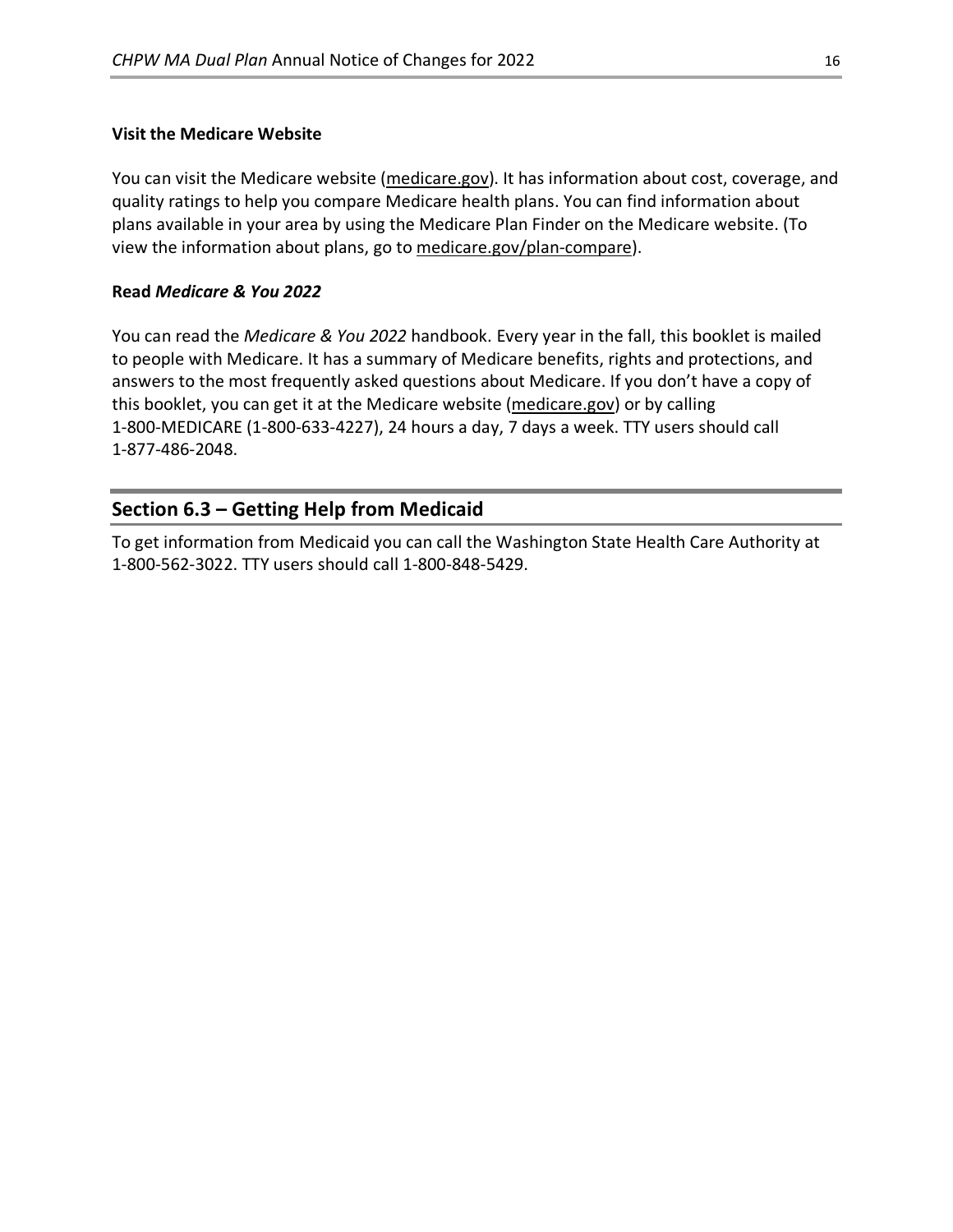### **Visit the Medicare Website**

You can visit the Medicare website [\(medicare.gov\)](http://www.medicare.gov/). It has information about cost, coverage, and quality ratings to help you compare Medicare health plans. You can find information about plans available in your area by using the Medicare Plan Finder on the Medicare website. (To view the information about plans, go to [medicare.gov/plan-compare\)](http://www.medicare.gov/plan-compare).

### **Read** *Medicare & You 2022*

You can read the *Medicare & You 2022* handbook. Every year in the fall, this booklet is mailed to people with Medicare. It has a summary of Medicare benefits, rights and protections, and answers to the most frequently asked questions about Medicare. If you don't have a copy of this booklet, you can get it at the Medicare website [\(medicare.gov\)](http://www.medicare.gov/) or by calling 1-800-MEDICARE (1-800-633-4227), 24 hours a day, 7 days a week. TTY users should call 1-877-486-2048.

# **Section 6.3 – Getting Help from Medicaid**

To get information from Medicaid you can call the Washington State Health Care Authority at 1-800-562-3022. TTY users should call 1-800-848-5429.